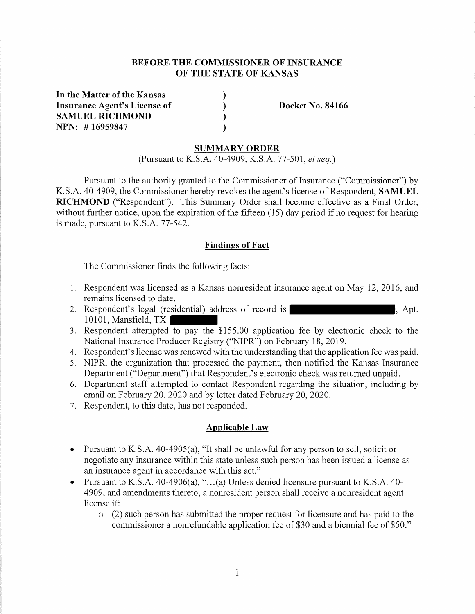# **BEFORE THE COMMISSIONER OF INSURANCE OF THE STATE OF KANSAS**

) )  $\tilde{)}$ )

**In the Matter of the Kansas Insurance Agent's License of SAMUEL RICHMOND NPN: # 16959847** 

**Docket No. 84166** 

#### **SUMMARY ORDER**

(Pursuant to K.S.A. 40-4909, K.S.A. 77-501, *et seq.)* 

Pursuant to the authority granted to the Commissioner of Insurance ("Commissioner") by K.S.A. 40-4909, the Commissioner hereby revokes the agent's license of Respondent, **SAMUEL RICHMOND** ("Respondent"). This Summary Order shall become effective as a Final Order, without further notice, upon the expiration of the fifteen (15) day period if no request for hearing is made, pursuant to K.S.A. 77-542.

#### **Findings of Fact**

The Commissioner finds the following facts:

- 1. Respondent was licensed as a Kansas nonresident insurance agent on May 12, 2016, and remains licensed to date.
- 2. Respondent's legal (residential) address of record is  $\blacksquare$ , Apt. 10101, Mansfield, TX
- 3. Respondent attempted to pay the  $$155.00$  application fee by electronic check to the National Insurance Producer Registry ("NIPR") on February 18, 2019.
- 4. Respondent's license was renewed with the understanding that the application fee was paid.
- 5. NIPR, the organization that processed the payment, then notified the Kansas Insurance Department ("Department") that Respondent's electronic check was returned unpaid.
- 6. Department staff attempted to contact Respondent regarding the situation, including by email on February 20, 2020 and by letter dated February 20, 2020.
- 7. Respondent, to this date, has not responded.

# **Applicable Law**

- Pursuant to K.S.A. 40-4905(a), "It shall be unlawful for any person to sell, solicit or negotiate any insurance within this state unless such person has been issued a license as an insurance agent in accordance with this act."
- Pursuant to K.S.A. 40-4906(a), "...(a) Unless denied licensure pursuant to K.S.A. 40-4909, and amendments thereto, a nonresident person shall receive a nonresident agent license if:
	- o (2) such person has submitted the proper request for licensure and has paid to the commissioner a nonrefundable application fee of \$30 and a biennial fee of \$50."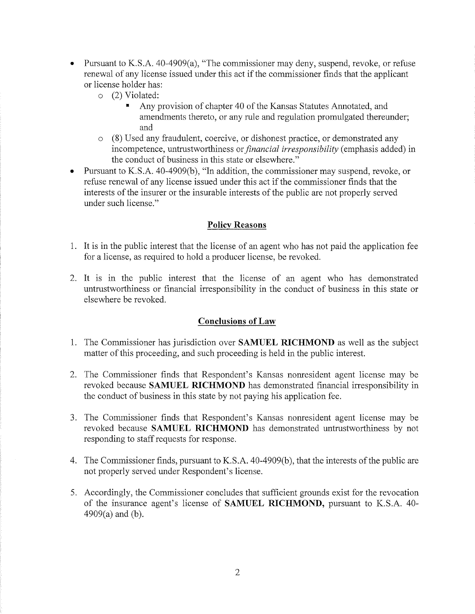- Pursuant to K.S.A. 40-4909(a), "The commissioner may deny, suspend, revoke, or refuse renewal of any license issued under this act if the commissioner finds that the applicant or license holder has:
	- o (2) Violated:
		- Any provision of chapter 40 of the Kansas Statutes Annotated, and amendments thereto, or any rule and regulation promulgated thereunder; and
	- o (8) Used any fraudulent, coercive, or dishonest practice, or demonstrated any incompetence, untrustworthiness or *financial irresponsibility* (emphasis added) in the conduct of business in this state or elsewhere."
- Pursuant to KS.A. 40-4909(b), "In addition, the commissioner may suspend, revoke, or refuse renewal of any license issued under this act if the commissioner finds that the interests of the insurer or the insurable interests of the public are not properly served under such license."

### **Policy Reasons**

- 1. It is in the public interest that the license of an agent who has not paid the application fee for a license, as required to hold a producer license, be revoked.
- 2. It is in the public interest that the license of an agent who has demonstrated untrustworthiness or financial irresponsibility in the conduct of business in this state or elsewhere be revoked.

### **Conclusions of Law**

- 1. The Commissioner has jurisdiction over **SAMUEL RICHMOND** as well as the subject matter of this proceeding, and such proceeding is held in the public interest.
- 2. The Commissioner finds that Respondent's Kansas nonresident agent license may be revoked because **SAMUEL RICHMOND** has demonstrated financial irresponsibility in the conduct of business in this state by not paying his application fee.
- 3. The Commissioner finds that Respondent's Kansas nonresident agent license may be revoked because **SAMUEL RICHMOND** has demonstrated untrustworthiness by not responding to staff requests for response.
- 4. The Commissioner finds, pursuant to K.S.A. 40-4909(b), that the interests of the public are not properly served under Respondent's license.
- 5. Accordingly, the Commissioner concludes that sufficient grounds exist for the revocation of the insurance agent's license of **SAMUEL RICHMOND,** pursuant to K.S.A. 40- 4909(a) and (b).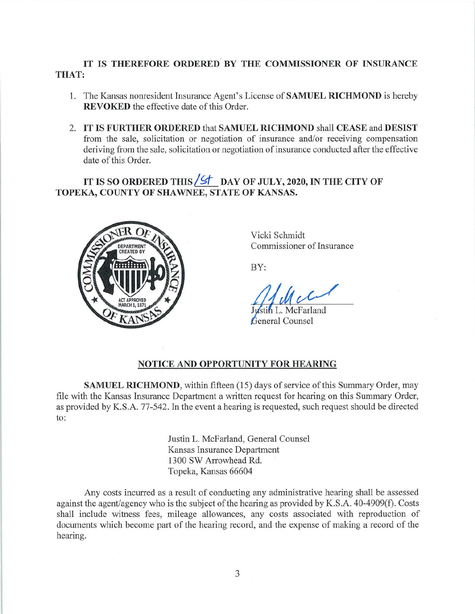# **IT IS THEREFORE ORDERED BY THE COMMISSIONER OF INSURANCE THAT:**

- 1. The Kansas nonresident Insurance Agent's License of **SAMUEL RICHMOND** is hereby **REVOKED** the effective date of this Order.
- 2. **IT IS FURTHER ORDERED** that **SAMUEL RICHMOND** shall **CEASE** and **DESIST**  from the sale, solicitation or negotiation of insurance and/or receiving compensation deriving from the sale, solicitation or negotiation of insurance conducted after the effective date of this Order.

IT IS SO ORDERED THIS **6 6 DAY OF JULY, 2020, IN THE CITY OF TOPEKA, COUNTY OF SHAWNEE, STATE OF KANSAS.** 



Vicki Schmidt Commissioner of Insurance

BY:

L. McFarland General Counsel

# **NOTICE AND OPPORTUNITY FOR HEARING**

**SAMUEL RICHMOND,** within fifteen (15) days of service of this Summary Order, may file with the Kansas Insurance Department a written request for hearing on this Summary Order, as provided by K.S.A. 77-542. In the event a hearing is requested, such request should be directed to:

> Justin L. McFarland, General Counsel Kansas Insurance Department 1300 SW Arrowhead Rd. Topeka, Kansas 66604

Any costs incurred as a result of conducting any administrative hearing shall be assessed against the agent/agency who is the subject of the hearing as provided by K.S.A. 40-4909(f). Costs shall include witness fees, mileage allowances, any costs associated with reproduction of documents which become part of the hearing record, and the expense of making a record of the hearing.